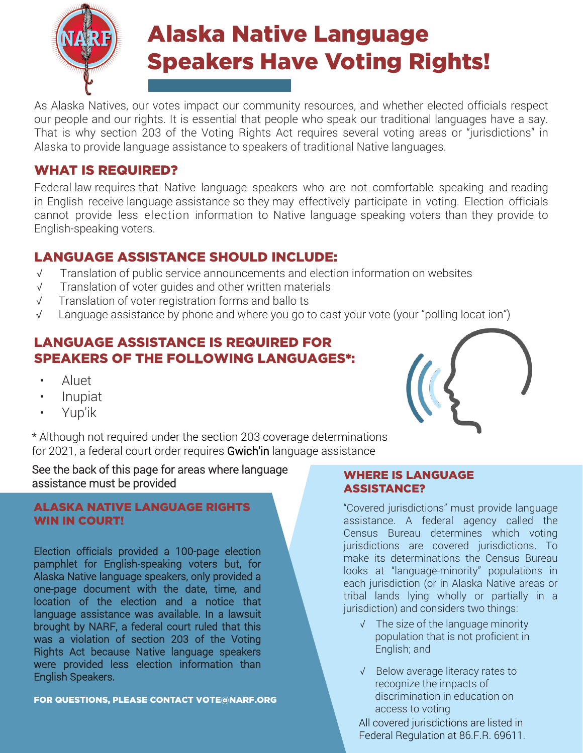

As Alaska Natives, our votes impact our community resources, and whether elected officials respect our people and our rights. It is essential that people who speak our traditional languages have a say. That is why section 203 of the Voting Rights Act requires several voting areas or "jurisdictions" in Alaska to provide language assistance to speakers of traditional Native languages.

### WHAT IS REQUIRED?

Federal law requires that Native language speakers who are not comfortable speaking and reading in English receive language assistance so they may effectively participate in voting. Election officials cannot provide less election information to Native language speaking voters than they provide to English-speaking voters.

# LANGUAGE ASSISTANCE SHOULD INCLUDE:

- √ Translation of public service announcements and election information on websites
- √ Translation of voter guides and other written materials
- √ Translation of voter registration forms and ballo ts
- √ Language assistance by phone and where you go to cast your vote (your "polling locat ion")

### LANGUAGE ASSISTANCE IS REQUIRED FOR SPEAKERS OF THE FOLLOWING LANGUAGES\*:

- Aluet
- Inupiat
- Yup'ik

\* Although not required under the section 203 coverage determinations for 2021, a federal court order requires Gwich'in language assistance

See the back of this page for areas where language assistance must be provided

#### ALASKA NATIVE LANGUAGE RIGHTS WIN IN COURT!

Election officials provided a 100-page election pamphlet for English-speaking voters but, for Alaska Native language speakers, only provided a one-page document with the date, time, and location of the election and a notice that language assistance was available. In a lawsuit brought by NARF, a federal court ruled that this was a violation of section 203 of the Voting Rights Act because Native language speakers were provided less election information than English Speakers.

FOR QUESTIONS, PLEASE CONTACT VOTE[@NARF.ORG](mailto:VOTE@NARF.ORG)

#### WHERE IS LANGUAGE ASSISTANCE?

"Covered jurisdictions" must provide language assistance. A federal agency called the Census Bureau determines which voting jurisdictions are covered jurisdictions. To make its determinations the Census Bureau looks at "language-minority" populations in each jurisdiction (or in Alaska Native areas or tribal lands lying wholly or partially in a jurisdiction) and considers two things:

- √ The size of the language minority population that is not proficient in English; and
- √ Below average literacy rates to recognize the impacts of discrimination in education on access to voting

All covered jurisdictions are listed in Federal Regulation at 86.F.R. 69611.